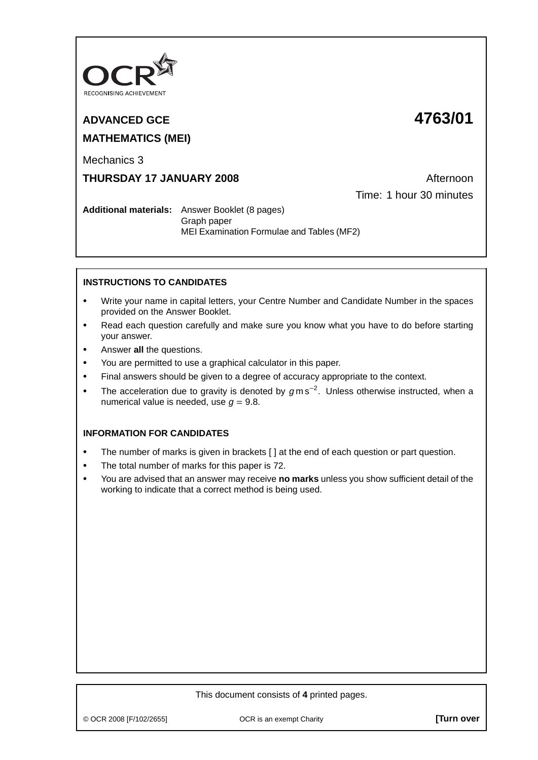

# **ADVANCED GCE 4763/01 MATHEMATICS (MEI)**

Mechanics 3

## **THURSDAY 17 JANUARY 2008** Afternoon

Time: 1 hour 30 minutes

**Additional materials:** Answer Booklet (8 pages) Graph paper MEI Examination Formulae and Tables (MF2)

## **INSTRUCTIONS TO CANDIDATES**

- **•** Write your name in capital letters, your Centre Number and Candidate Number in the spaces provided on the Answer Booklet.
- **•** Read each question carefully and make sure you know what you have to do before starting your answer.
- **•** Answer **all** the questions.
- **•** You are permitted to use a graphical calculator in this paper.
- **•** Final answers should be given to a degree of accuracy appropriate to the context.
- **•** The acceleration due to gravity is denoted by <sup>g</sup> m s−<sup>2</sup> . Unless otherwise instructed, when a numerical value is needed, use  $q = 9.8$ .

## **INFORMATION FOR CANDIDATES**

- **•** The number of marks is given in brackets [ ] at the end of each question or part question.
- **•** The total number of marks for this paper is 72.
- **•** You are advised that an answer may receive **no marks** unless you show sufficient detail of the working to indicate that a correct method is being used.

### This document consists of **4** printed pages.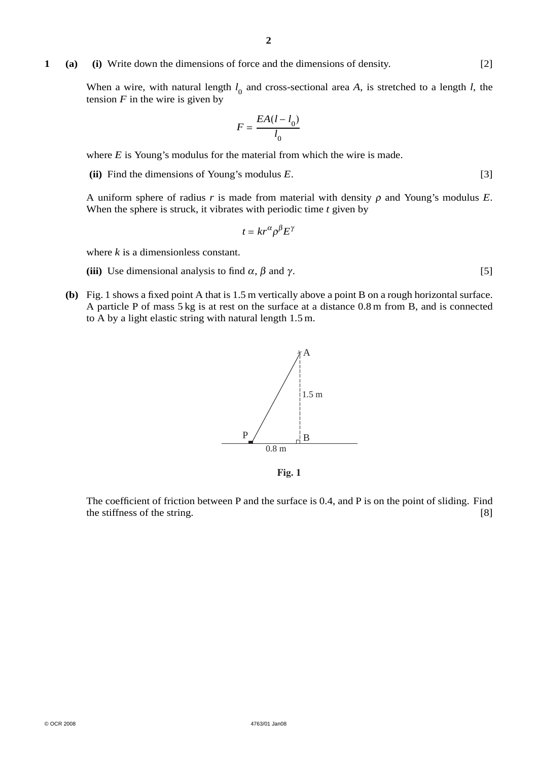#### **1 (a) (i)** Write down the dimensions of force and the dimensions of density. [2]

When a wire, with natural length  $l_0$  and cross-sectional area *A*, is stretched to a length *l*, the tension  $F$  in the wire is given by

$$
F = \frac{EA(l - l_0)}{l_0}
$$

where *E* is Young's modulus for the material from which the wire is made.

**(ii)** Find the dimensions of Young's modulus *E*. [3]

A uniform sphere of radius  $r$  is made from material with density  $\rho$  and Young's modulus  $E$ . When the sphere is struck, it vibrates with periodic time *t* given by

$$
t = kr^{\alpha} \rho^{\beta} E^{\gamma}
$$

where *k* is a dimensionless constant.

- (iii) Use dimensional analysis to find  $\alpha$ ,  $\beta$  and  $\gamma$ . [5]
- **(b)** Fig. 1 shows a fixed point A that is 1.5 m vertically above a point B on a rough horizontal surface. A particle P of mass 5 kg is at rest on the surface at a distance 0.8 m from B, and is connected to A by a light elastic string with natural length 1.5 m.



**Fig. 1**

The coefficient of friction between P and the surface is 0.4, and P is on the point of sliding. Find the stiffness of the string. [8]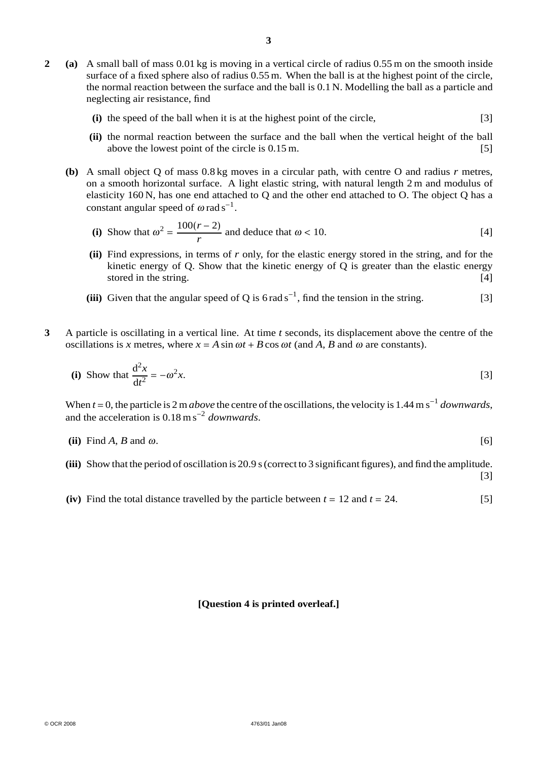- **2 (a)** A small ball of mass 0.01 kg is moving in a vertical circle of radius 0.55 m on the smooth inside surface of a fixed sphere also of radius 0.55 m. When the ball is at the highest point of the circle, the normal reaction between the surface and the ball is 0.1 N. Modelling the ball as a particle and neglecting air resistance, find
	- **(i)** the speed of the ball when it is at the highest point of the circle, [3]
	- **(ii)** the normal reaction between the surface and the ball when the vertical height of the ball above the lowest point of the circle is  $0.15 \text{ m}$ . [5]
	- **(b)** A small object Q of mass 0.8 kg moves in a circular path, with centre O and radius *r* metres, on a smooth horizontal surface. A light elastic string, with natural length 2 m and modulus of elasticity 160 N, has one end attached to Q and the other end attached to O. The object Q has a constant angular speed of  $\omega$  rad s<sup>-1</sup>.

(i) Show that 
$$
\omega^2 = \frac{100(r-2)}{r}
$$
 and deduce that  $\omega < 10$ . [4]

- **(ii)** Find expressions, in terms of *r* only, for the elastic energy stored in the string, and for the kinetic energy of Q. Show that the kinetic energy of  $Q$  is greater than the elastic energy stored in the string. [4]
- (iii) Given that the angular speed of Q is  $6$  rad s<sup>-1</sup>, find the tension in the string. [3]
- **3** A particle is oscillating in a vertical line. At time *t* seconds, its displacement above the centre of the oscillations is *x* metres, where  $x = A \sin \omega t + B \cos \omega t$  (and A, B and  $\omega$  are constants).

(i) Show that 
$$
\frac{d^2x}{dt^2} = -\omega^2 x.
$$
 [3]

When *t* <sup>=</sup> 0, the particle is 2 m*above* the centre of the oscillations, the velocity is 1.44 m s<sup>−</sup><sup>1</sup> *downwards*, and the acceleration is 0.18 m s<sup>−</sup><sup>2</sup> *downwards*.

(ii) Find 
$$
A
$$
,  $B$  and  $\omega$ .  
[6]

**(iii)** Show that the period of oscillation is 20.9 s (correct to 3 significant figures), and find the amplitude.

[3]

**(iv)** Find the total distance travelled by the particle between  $t = 12$  and  $t = 24$ . [5]

#### **[Question 4 is printed overleaf.]**